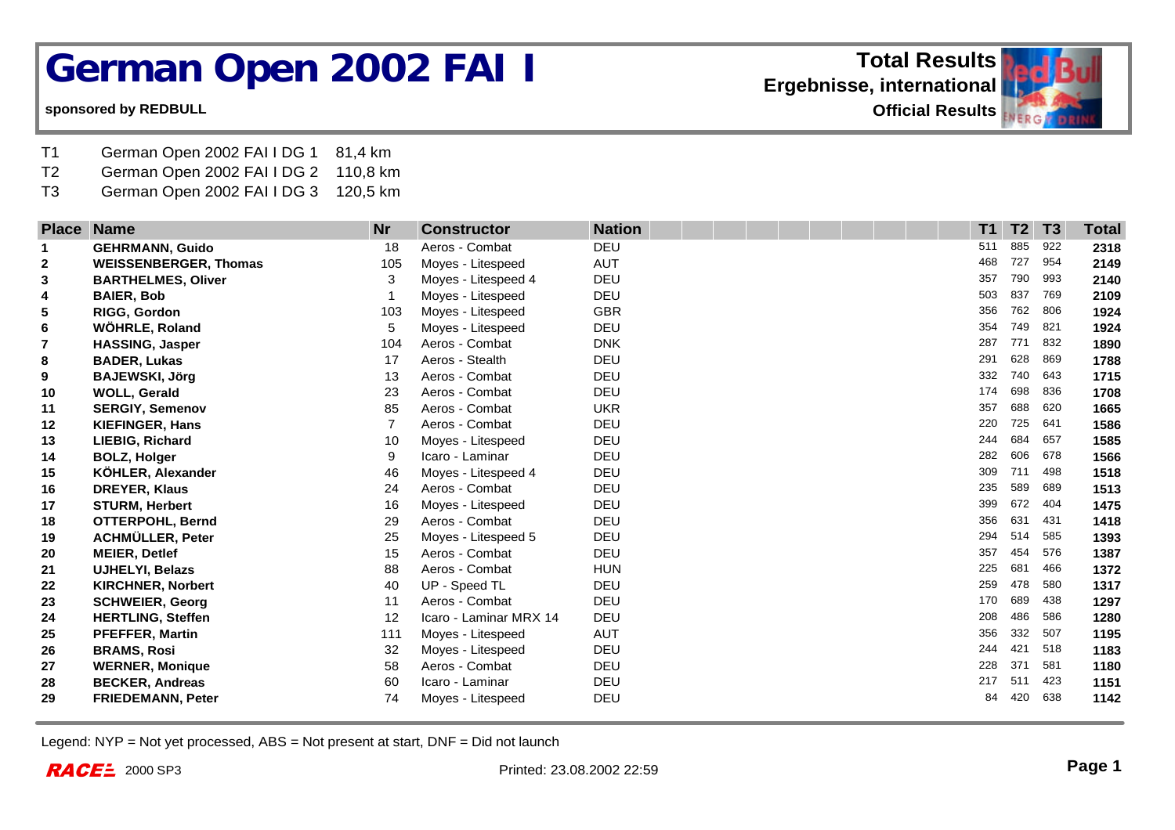## **German Open 2002 FAI I**

## **sponsored by REDBULL**

- T1 German Open 2002 FAI I DG 1 81,4 km
- T2 German Open 2002 FAI I DG 2 110,8 km
- T3 German Open 2002 FAI I DG 3 120,5 km

| <b>Place</b>   | <b>Name</b>                  | <b>Nr</b>      | <b>Constructor</b>     | <b>Nation</b> | T <sub>1</sub> | T2  | T3  | <b>Total</b> |
|----------------|------------------------------|----------------|------------------------|---------------|----------------|-----|-----|--------------|
| 1              | <b>GEHRMANN, Guido</b>       | 18             | Aeros - Combat         | DEU           | 511            | 885 | 922 | 2318         |
| $\mathbf{2}$   | <b>WEISSENBERGER, Thomas</b> | 105            | Moyes - Litespeed      | <b>AUT</b>    | 468            | 727 | 954 | 2149         |
| 3              | <b>BARTHELMES, Oliver</b>    | 3              | Moyes - Litespeed 4    | DEU           | 357            | 790 | 993 | 2140         |
| 4              | <b>BAIER, Bob</b>            |                | Moyes - Litespeed      | DEU           | 503            | 837 | 769 | 2109         |
| 5              | <b>RIGG, Gordon</b>          | 103            | Moyes - Litespeed      | <b>GBR</b>    | 356            | 762 | 806 | 1924         |
| 6              | WÖHRLE, Roland               | 5              | Moyes - Litespeed      | DEU           | 354            | 749 | 821 | 1924         |
| $\overline{7}$ | <b>HASSING, Jasper</b>       | 104            | Aeros - Combat         | <b>DNK</b>    | 287            | 771 | 832 | 1890         |
| 8              | <b>BADER, Lukas</b>          | 17             | Aeros - Stealth        | <b>DEU</b>    | 291            | 628 | 869 | 1788         |
| 9              | <b>BAJEWSKI, Jörg</b>        | 13             | Aeros - Combat         | DEU           | 332            | 740 | 643 | 1715         |
| 10             | <b>WOLL, Gerald</b>          | 23             | Aeros - Combat         | <b>DEU</b>    | 174            | 698 | 836 | 1708         |
| 11             | <b>SERGIY, Semenov</b>       | 85             | Aeros - Combat         | <b>UKR</b>    | 357            | 688 | 620 | 1665         |
| 12             | <b>KIEFINGER, Hans</b>       | $\overline{7}$ | Aeros - Combat         | DEU           | 220            | 725 | 641 | 1586         |
| 13             | LIEBIG, Richard              | 10             | Moyes - Litespeed      | DEU           | 244            | 684 | 657 | 1585         |
| 14             | <b>BOLZ, Holger</b>          | 9              | Icaro - Laminar        | DEU           | 282            | 606 | 678 | 1566         |
| 15             | <b>KÖHLER, Alexander</b>     | 46             | Moyes - Litespeed 4    | DEU           | 309            | 711 | 498 | 1518         |
| 16             | <b>DREYER, Klaus</b>         | 24             | Aeros - Combat         | DEU           | 235            | 589 | 689 | 1513         |
| 17             | <b>STURM, Herbert</b>        | 16             | Moyes - Litespeed      | DEU           | 399            | 672 | 404 | 1475         |
| 18             | OTTERPOHL, Bernd             | 29             | Aeros - Combat         | DEU           | 356            | 631 | 431 | 1418         |
| 19             | ACHMÜLLER, Peter             | 25             | Moyes - Litespeed 5    | DEU           | 294            | 514 | 585 | 1393         |
| 20             | <b>MEIER, Detlef</b>         | 15             | Aeros - Combat         | DEU           | 357            | 454 | 576 | 1387         |
| 21             | <b>UJHELYI, Belazs</b>       | 88             | Aeros - Combat         | <b>HUN</b>    | 225            | 681 | 466 | 1372         |
| 22             | <b>KIRCHNER, Norbert</b>     | 40             | UP - Speed TL          | <b>DEU</b>    | 259            | 478 | 580 | 1317         |
| 23             | <b>SCHWEIER, Georg</b>       | 11             | Aeros - Combat         | DEU           | 170            | 689 | 438 | 1297         |
| 24             | <b>HERTLING, Steffen</b>     | 12             | Icaro - Laminar MRX 14 | DEU           | 208            | 486 | 586 | 1280         |
| 25             | <b>PFEFFER, Martin</b>       | 111            | Moyes - Litespeed      | <b>AUT</b>    | 356            | 332 | 507 | 1195         |
| 26             | <b>BRAMS, Rosi</b>           | 32             | Moyes - Litespeed      | DEU           | 244            | 421 | 518 | 1183         |
| 27             | <b>WERNER, Monique</b>       | 58             | Aeros - Combat         | DEU           | 228            | 371 | 581 | 1180         |
| 28             | <b>BECKER, Andreas</b>       | 60             | Icaro - Laminar        | DEU           | 217            | 511 | 423 | 1151         |
| 29             | <b>FRIEDEMANN, Peter</b>     | 74             | Moyes - Litespeed      | DEU           | 84             | 420 | 638 | 1142         |

Legend: NYP = Not yet processed, ABS = Not present at start, DNF = Did not launch

**Total Results Ergebnisse, international Official Results** 

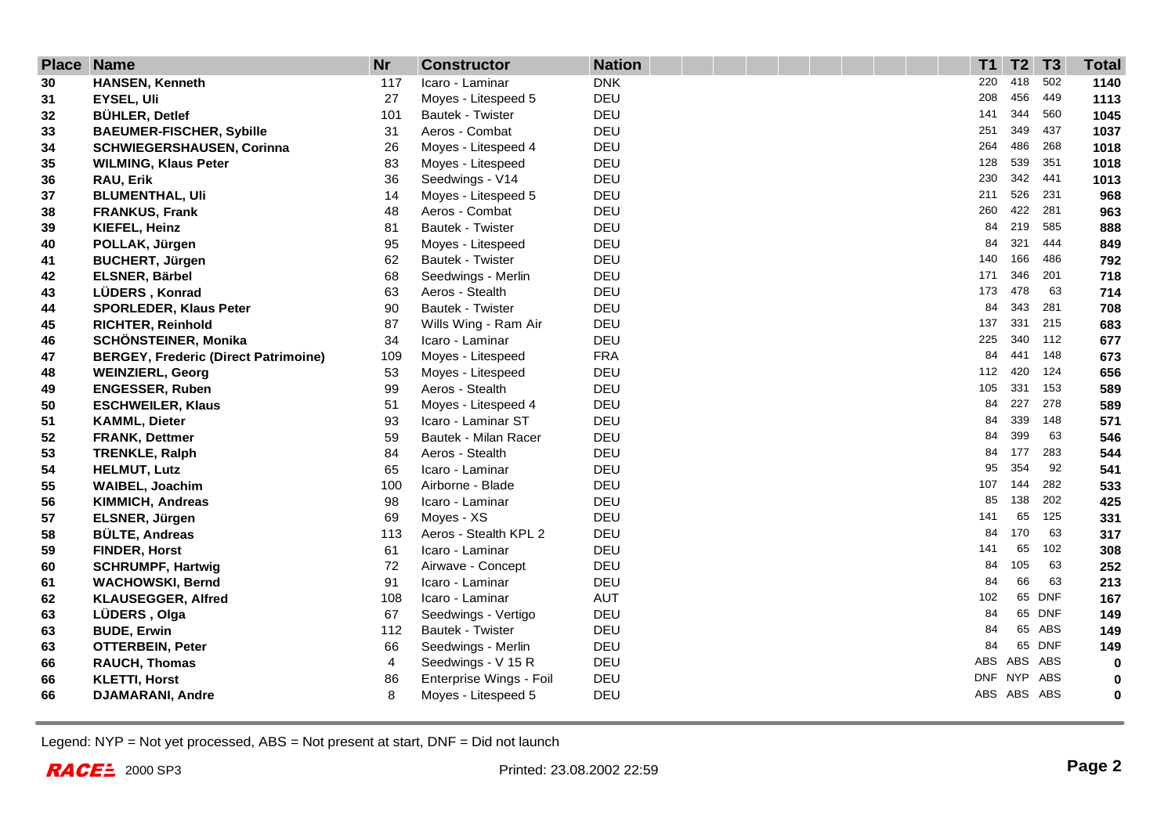| <b>Place Name</b> |                                             | <b>Nr</b> | <b>Constructor</b>      | <b>Nation</b> | T1  | T <sub>2</sub> | T3         | <b>Total</b> |
|-------------------|---------------------------------------------|-----------|-------------------------|---------------|-----|----------------|------------|--------------|
| 30                | <b>HANSEN, Kenneth</b>                      | 117       | Icaro - Laminar         | <b>DNK</b>    | 220 | 418            | 502        | 1140         |
| 31                | <b>EYSEL, Uli</b>                           | 27        | Moyes - Litespeed 5     | <b>DEU</b>    | 208 | 456            | 449        | 1113         |
| 32                | <b>BÜHLER, Detlef</b>                       | 101       | Bautek - Twister        | DEU           | 141 | 344            | 560        | 1045         |
| 33                | <b>BAEUMER-FISCHER, Sybille</b>             | 31        | Aeros - Combat          | DEU           | 251 | 349            | 437        | 1037         |
| 34                | <b>SCHWIEGERSHAUSEN, Corinna</b>            | 26        | Moyes - Litespeed 4     | DEU           | 264 | 486            | 268        | 1018         |
| 35                | <b>WILMING, Klaus Peter</b>                 | 83        | Moyes - Litespeed       | DEU           | 128 | 539            | 351        | 1018         |
| 36                | RAU, Erik                                   | 36        | Seedwings - V14         | DEU           | 230 | 342            | 441        | 1013         |
| 37                | <b>BLUMENTHAL, Uli</b>                      | 14        | Moyes - Litespeed 5     | DEU           | 211 | 526            | 231        | 968          |
| 38                | <b>FRANKUS, Frank</b>                       | 48        | Aeros - Combat          | DEU           | 260 | 422            | 281        | 963          |
| 39                | KIEFEL, Heinz                               | 81        | Bautek - Twister        | DEU           | 84  | 219            | 585        | 888          |
| 40                | POLLAK, Jürgen                              | 95        | Moyes - Litespeed       | DEU           | 84  | 321            | 444        | 849          |
| 41                | <b>BUCHERT, Jürgen</b>                      | 62        | Bautek - Twister        | DEU           | 140 | 166            | 486        | 792          |
| 42                | ELSNER, Bärbel                              | 68        | Seedwings - Merlin      | DEU           | 171 | 346            | 201        | 718          |
| 43                | LÜDERS, Konrad                              | 63        | Aeros - Stealth         | DEU           | 173 | 478            | 63         | 714          |
| 44                | <b>SPORLEDER, Klaus Peter</b>               | 90        | Bautek - Twister        | DEU           | 84  | 343            | 281        | 708          |
| 45                | <b>RICHTER, Reinhold</b>                    | 87        | Wills Wing - Ram Air    | <b>DEU</b>    | 137 | 331            | 215        | 683          |
| 46                | <b>SCHÖNSTEINER, Monika</b>                 | 34        | Icaro - Laminar         | DEU           | 225 | 340            | 112        | 677          |
| 47                | <b>BERGEY, Frederic (Direct Patrimoine)</b> | 109       | Moyes - Litespeed       | <b>FRA</b>    | 84  | 441            | 148        | 673          |
| 48                | <b>WEINZIERL, Georg</b>                     | 53        | Moyes - Litespeed       | DEU           | 112 | 420            | 124        | 656          |
| 49                | <b>ENGESSER, Ruben</b>                      | 99        | Aeros - Stealth         | DEU           | 105 | 331            | 153        | 589          |
| 50                | <b>ESCHWEILER, Klaus</b>                    | 51        | Moyes - Litespeed 4     | DEU           | 84  | 227            | 278        | 589          |
| 51                | <b>KAMML, Dieter</b>                        | 93        | Icaro - Laminar ST      | DEU           | 84  | 339            | 148        | 571          |
| 52                | <b>FRANK, Dettmer</b>                       | 59        | Bautek - Milan Racer    | DEU           | 84  | 399            | 63         | 546          |
| 53                | <b>TRENKLE, Ralph</b>                       | 84        | Aeros - Stealth         | DEU           | 84  | 177            | 283        | 544          |
| 54                | <b>HELMUT, Lutz</b>                         | 65        | Icaro - Laminar         | DEU           | 95  | 354            | 92         | 541          |
| 55                | <b>WAIBEL, Joachim</b>                      | 100       | Airborne - Blade        | DEU           | 107 | 144            | 282        | 533          |
| 56                | <b>KIMMICH, Andreas</b>                     | 98        | Icaro - Laminar         | DEU           | 85  | 138            | 202        | 425          |
| 57                | ELSNER, Jürgen                              | 69        | Moyes - XS              | DEU           | 141 | 65             | 125        | 331          |
| 58                | <b>BÜLTE, Andreas</b>                       | 113       | Aeros - Stealth KPL 2   | DEU           | 84  | 170            | 63         | 317          |
| 59                | <b>FINDER, Horst</b>                        | 61        | Icaro - Laminar         | DEU           | 141 | 65             | 102        | 308          |
| 60                | <b>SCHRUMPF, Hartwig</b>                    | 72        | Airwave - Concept       | DEU           | 84  | 105            | 63         | 252          |
| 61                | <b>WACHOWSKI, Bernd</b>                     | 91        | Icaro - Laminar         | DEU           | 84  | 66             | 63         | 213          |
| 62                | <b>KLAUSEGGER, Alfred</b>                   | 108       | Icaro - Laminar         | AUT           | 102 | 65             | DNF        | 167          |
| 63                | LÜDERS, Olga                                | 67        | Seedwings - Vertigo     | DEU           | 84  | 65             | <b>DNF</b> | 149          |
| 63                | <b>BUDE, Erwin</b>                          | 112       | Bautek - Twister        | DEU           | 84  | 65             | ABS        | 149          |
| 63                | <b>OTTERBEIN, Peter</b>                     | 66        | Seedwings - Merlin      | DEU           | 84  |                | 65 DNF     | 149          |
| 66                | <b>RAUCH, Thomas</b>                        | 4         | Seedwings - V 15 R      | DEU           | ABS | ABS            | ABS        | 0            |
| 66                | <b>KLETTI, Horst</b>                        | 86        | Enterprise Wings - Foil | DEU           |     | DNF NYP        | ABS        | 0            |
| 66                | <b>DJAMARANI, Andre</b>                     | 8         | Moyes - Litespeed 5     | DEU           |     | ABS ABS ABS    |            | $\bf{0}$     |

Legend: NYP = Not yet processed, ABS = Not present at start, DNF = Did not launch